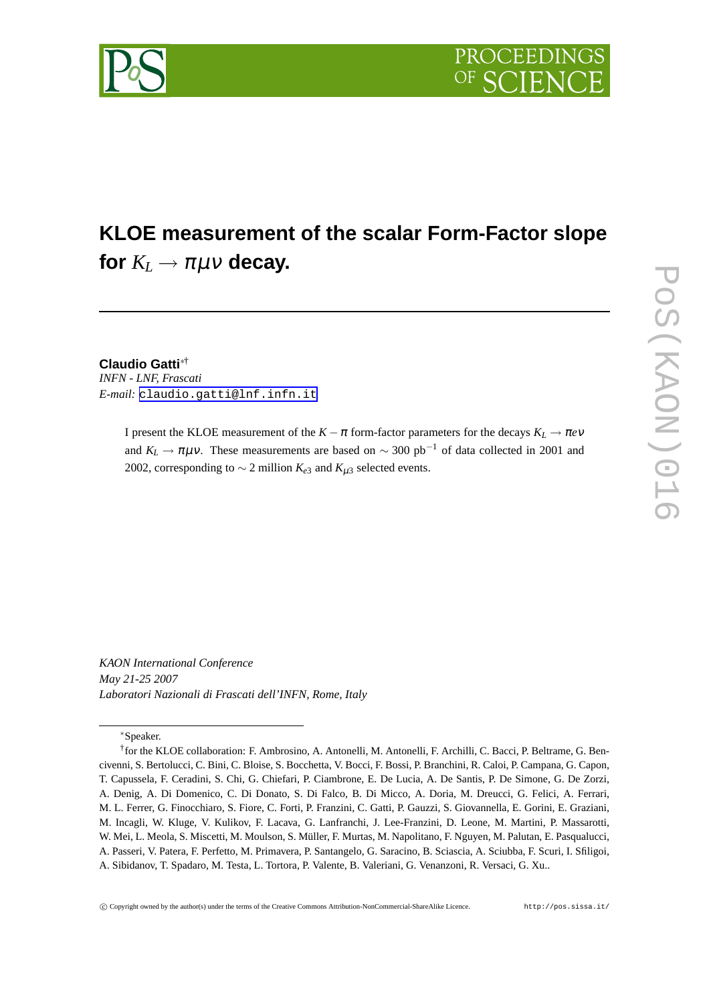

# **KLOE measurement of the scalar Form-Factor slope** for  $K_L \rightarrow \pi \mu \nu$  decay.

#### **Claudio Gatti**∗†

*INFN - LNF, Frascati E-mail:* [claudio.gatti@lnf.infn.it](mailto:claudio.gatti@lnf.infn.it)

> I present the KLOE measurement of the  $K - \pi$  form-factor parameters for the decays  $K_L \rightarrow \pi e \nu$ and  $K_L \rightarrow \pi \mu \nu$ . These measurements are based on  $\sim 300 \text{ pb}^{-1}$  of data collected in 2001 and 2002, corresponding to  $\sim$  2 million  $K_{e3}$  and  $K_{\mu 3}$  selected events.

*KAON International Conference May 21-25 2007 Laboratori Nazionali di Frascati dell'INFN, Rome, Italy*

∗Speaker.



<sup>†</sup> for the KLOE collaboration: F. Ambrosino, A. Antonelli, M. Antonelli, F. Archilli, C. Bacci, P. Beltrame, G. Bencivenni, S. Bertolucci, C. Bini, C. Bloise, S. Bocchetta, V. Bocci, F. Bossi, P. Branchini, R. Caloi, P. Campana, G. Capon, T. Capussela, F. Ceradini, S. Chi, G. Chiefari, P. Ciambrone, E. De Lucia, A. De Santis, P. De Simone, G. De Zorzi, A. Denig, A. Di Domenico, C. Di Donato, S. Di Falco, B. Di Micco, A. Doria, M. Dreucci, G. Felici, A. Ferrari, M. L. Ferrer, G. Finocchiaro, S. Fiore, C. Forti, P. Franzini, C. Gatti, P. Gauzzi, S. Giovannella, E. Gorini, E. Graziani, M. Incagli, W. Kluge, V. Kulikov, F. Lacava, G. Lanfranchi, J. Lee-Franzini, D. Leone, M. Martini, P. Massarotti, W. Mei, L. Meola, S. Miscetti, M. Moulson, S. Müller, F. Murtas, M. Napolitano, F. Nguyen, M. Palutan, E. Pasqualucci, A. Passeri, V. Patera, F. Perfetto, M. Primavera, P. Santangelo, G. Saracino, B. Sciascia, A. Sciubba, F. Scuri, I. Sfiligoi, A. Sibidanov, T. Spadaro, M. Testa, L. Tortora, P. Valente, B. Valeriani, G. Venanzoni, R. Versaci, G. Xu..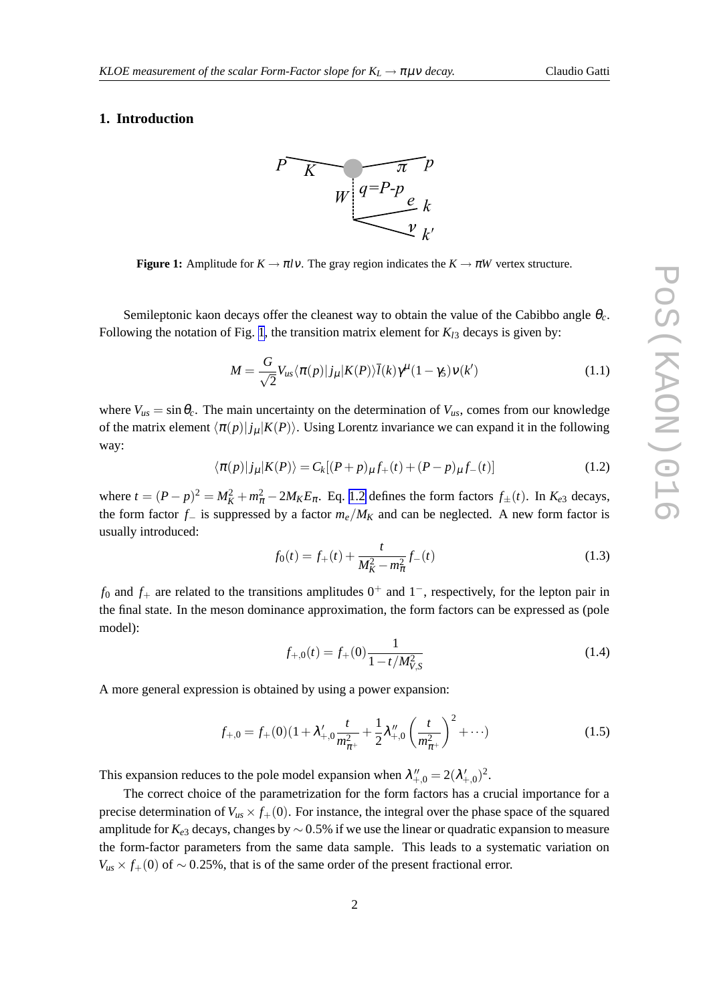#### **1. Introduction**



**Figure 1:** Amplitude for  $K \to \pi l v$ . The gray region indicates the  $K \to \pi W$  vertex structure.

Semileptonic kaon decays offer the cleanest way to obtain the value of the Cabibbo angle <sup>θ</sup>*c*. Following the notation of Fig. 1, the transition matrix element for  $K_{13}$  decays is given by:

$$
M = \frac{G}{\sqrt{2}} V_{us} \langle \pi(p) | j_{\mu} | K(P) \rangle \overline{l}(k) \gamma^{\mu} (1 - \gamma_5) v(k')
$$
 (1.1)

where  $V_{us} = \sin \theta_c$ . The main uncertainty on the determination of  $V_{us}$ , comes from our knowledge of the matrix element  $\langle \pi(p)| j_\mu|K(P) \rangle$ . Using Lorentz invariance we can expand it in the following way:

$$
\langle \pi(p)|j_{\mu}|K(P)\rangle = C_k[(P+p)_{\mu}f_+(t) + (P-p)_{\mu}f_-(t)] \tag{1.2}
$$

where  $t = (P - p)^2 = M_K^2 + m_{\pi}^2 - 2M_K E_{\pi}$ . Eq. 1.2 defines the form factors  $f_{\pm}(t)$ . In  $K_{e3}$  decays, the form factor *f*<sup>−</sup> is suppressed by a factor *me*/*M<sup>K</sup>* and can be neglected. A new form factor is usually introduced:

$$
f_0(t) = f_+(t) + \frac{t}{M_K^2 - m_\pi^2} f_-(t)
$$
\n(1.3)

 $f_0$  and  $f_+$  are related to the transitions amplitudes  $0^+$  and  $1^-$ , respectively, for the lepton pair in the final state. In the meson dominance approximation, the form factors can be expressed as (pole model):

$$
f_{+,0}(t) = f_+(0) \frac{1}{1 - t/M_{V,S}^2}
$$
\n(1.4)

A more general expression is obtained by using a power expansion:

$$
f_{+,0} = f_{+}(0)(1 + \lambda'_{+,0}\frac{t}{m_{\pi^{+}}^2} + \frac{1}{2}\lambda''_{+,0}\left(\frac{t}{m_{\pi^{+}}^2}\right)^2 + \cdots)
$$
 (1.5)

This expansion reduces to the pole model expansion when  $\lambda''_{+,0} = 2(\lambda'_{+,0})^2$ .

The correct choice of the parametrization for the form factors has a crucial importance for a precise determination of  $V_{us} \times f_{+}(0)$ . For instance, the integral over the phase space of the squared amplitude for *Ke*<sup>3</sup> decays, changes by ∼ 0.5% if we use the linear or quadratic expansion to measure the form-factor parameters from the same data sample. This leads to a systematic variation on  $V_{us} \times f_{+}(0)$  of ~ 0.25%, that is of the same order of the present fractional error.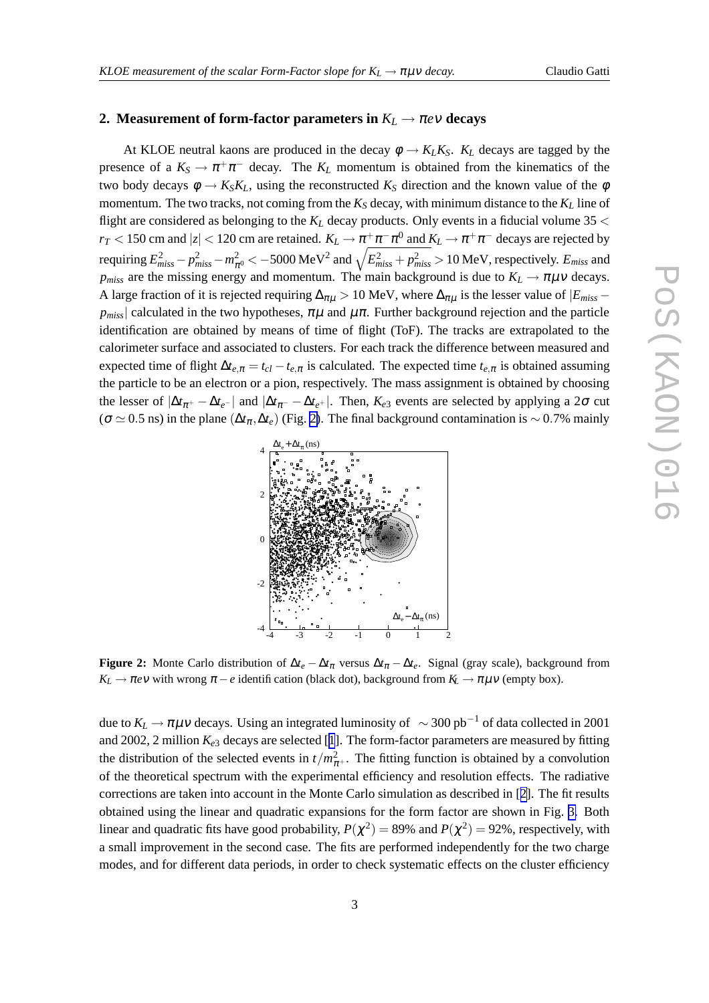#### **2. Measurement** of form-factor parameters in  $K_L \rightarrow \pi e \nu$  decays

At KLOE neutral kaons are produced in the decay  $\phi \rightarrow K_L K_S$ .  $K_L$  decays are tagged by the presence of a  $K_S \to \pi^+ \pi^-$  decay. The  $K_L$  momentum is obtained from the kinematics of the two body decays  $\phi \to K_S K_L$ , using the reconstructed  $K_S$  direction and the known value of the  $\phi$ momentum. The two tracks, not coming from the  $K_S$  decay, with minimum distance to the  $K_L$  line of flight are considered as belonging to the  $K_L$  decay products. Only events in a fiducial volume 35  $\lt$ *r*<sub>*T*</sub> < 150 cm and  $|z|$  < 120 cm are retained.  $K_L \to \pi^+ \pi^- \pi^0$  and  $K_L \to \pi^+ \pi^-$  decays are rejected by requiring  $E_{miss}^2-p_{miss}^2-m_{\pi^0}^2<-5000$  MeV $^2$  and  $\sqrt{E_{miss}^2+p_{miss}^2}>10$  MeV, respectively.  $E_{miss}$  and *p*<sub>miss</sub> are the missing energy and momentum. The main background is due to  $K_L \rightarrow \pi \mu \nu$  decays. A large fraction of it is rejected requiring  $\Delta_{\pi\mu} > 10$  MeV, where  $\Delta_{\pi\mu}$  is the lesser value of  $|E_{miss}$  $p_{miss}$  calculated in the two hypotheses,  $\pi\mu$  and  $\mu\pi$ . Further background rejection and the particle identification are obtained by means of time of flight (ToF). The tracks are extrapolated to the calorimeter surface and associated to clusters. For each track the difference between measured and expected time of flight  $\Delta t_{e,\pi} = t_{cl} - t_{e,\pi}$  is calculated. The expected time  $t_{e,\pi}$  is obtained assuming the particle to be an electron or a pion, respectively. The mass assignment is obtained by choosing the lesser of  $|\Delta t_{\pi^+} - \Delta t_{e^-}|$  and  $|\Delta t_{\pi^-} - \Delta t_{e^+}|$ . Then,  $K_{e3}$  events are selected by applying a 2 $\sigma$  cut ( $\sigma \simeq 0.5$  ns) in the plane ( $\Delta t_\pi, \Delta t_e$ ) (Fig. 2). The final background contamination is ~ 0.7% mainly



**Figure 2:** Monte Carlo distribution of  $\Delta t_e - \Delta t_\pi$  versus  $\Delta t_\pi - \Delta t_e$ . Signal (gray scale), background from  $K_L \rightarrow \pi e \nu$  with wrong  $\pi - e$  identification (black dot), background from  $K_L \rightarrow \pi \mu \nu$  (empty box).

due to  $K_L \to \pi \mu \nu$  decays. Using an integrated luminosity of  $\sim 300 \text{ pb}^{-1}$  of data collected in 2001 and 2002, 2 million  $K_{e3}$  decays are selected [[1](#page-5-0)]. The form-factor parameters are measured by fitting the distribution of the selected events in  $t/m_{\pi^+}^2$ . The fitting function is obtained by a convolution of the theoretical spectrum with the experimental efficiency and resolution effects. The radiative corrections are taken into account in the Monte Carlo simulation as described in [[2](#page-5-0)]. The fit results obtained using the linear and quadratic expansions for the form factor are shown in Fig. [3.](#page-3-0) Both linear and quadratic fits have good probability,  $P(\chi^2) = 89\%$  and  $P(\chi^2) = 92\%$ , respectively, with a small improvement in the second case. The fits are performed independently for the two charge modes, and for different data periods, in order to check systematic effects on the cluster efficiency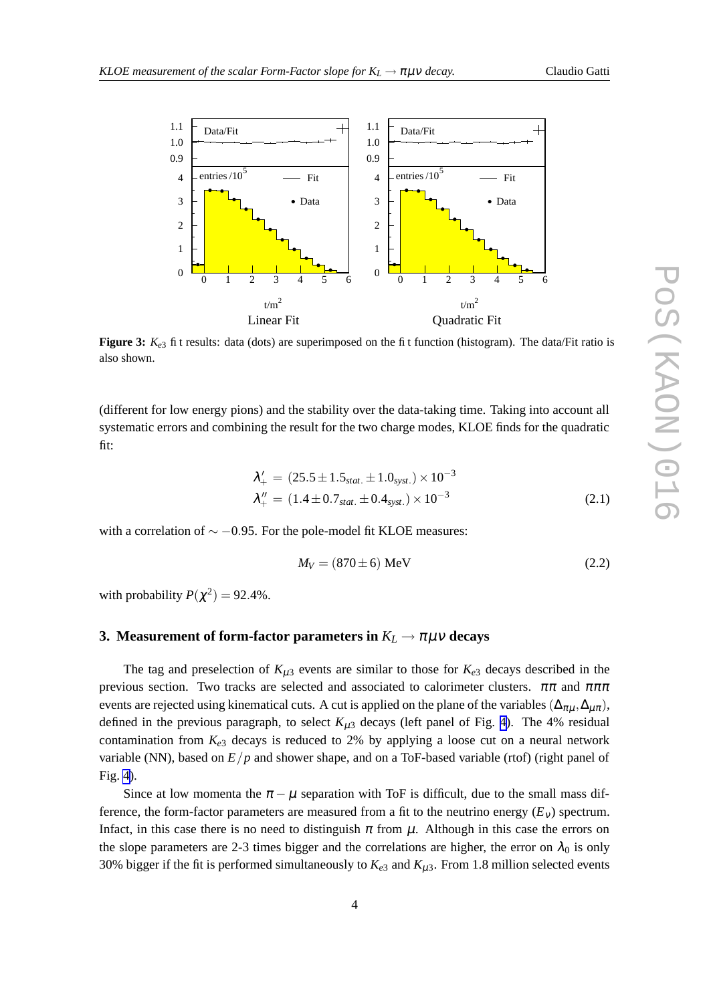<span id="page-3-0"></span>

**Figure 3:** *Ke*<sup>3</sup> fit results: data (dots) are superimposed on the fit function (histogram). The data/Fit ratio is also shown.

(different for low energy pions) and the stability over the data-taking time. Taking into account all systematic errors and combining the result for the two charge modes, KLOE finds for the quadratic fit:

$$
\lambda'_{+} = (25.5 \pm 1.5_{stat.} \pm 1.0_{syst.}) \times 10^{-3}
$$
  
\n
$$
\lambda''_{+} = (1.4 \pm 0.7_{stat.} \pm 0.4_{syst.}) \times 10^{-3}
$$
\n(2.1)

with a correlation of  $\sim$  −0.95. For the pole-model fit KLOE measures:

$$
M_V = (870 \pm 6) \text{ MeV}
$$
 (2.2)

with probability  $P(\chi^2) = 92.4\%$ .

### **3. Measurement** of form-factor parameters in  $K_L \to \pi \mu \nu$  decays

The tag and preselection of  $K_{\mu 3}$  events are similar to those for  $K_{e3}$  decays described in the previous section. Two tracks are selected and associated to calorimeter clusters.  $\pi\pi$  and  $\pi\pi\pi$ events are rejected using kinematical cuts. A cut is applied on the plane of the variables ( $\Delta_{\pi\mu}, \Delta_{\mu\pi}$ ), defined in the previous paragraph, to select  $K_{\mu 3}$  decays (left panel of Fig. [4\)](#page-4-0). The 4% residual contamination from  $K_{e3}$  decays is reduced to 2% by applying a loose cut on a neural network variable (NN), based on *E*/*p* and shower shape, and on a ToF-based variable (rtof) (right panel of Fig. [4\)](#page-4-0).

Since at low momenta the  $\pi - \mu$  separation with ToF is difficult, due to the small mass difference, the form-factor parameters are measured from a fit to the neutrino energy  $(E_v)$  spectrum. Infact, in this case there is no need to distinguish  $\pi$  from  $\mu$ . Although in this case the errors on the slope parameters are 2-3 times bigger and the correlations are higher, the error on  $\lambda_0$  is only 30% bigger if the fit is performed simultaneously to  $K_{e3}$  and  $K_{\mu 3}$ . From 1.8 million selected events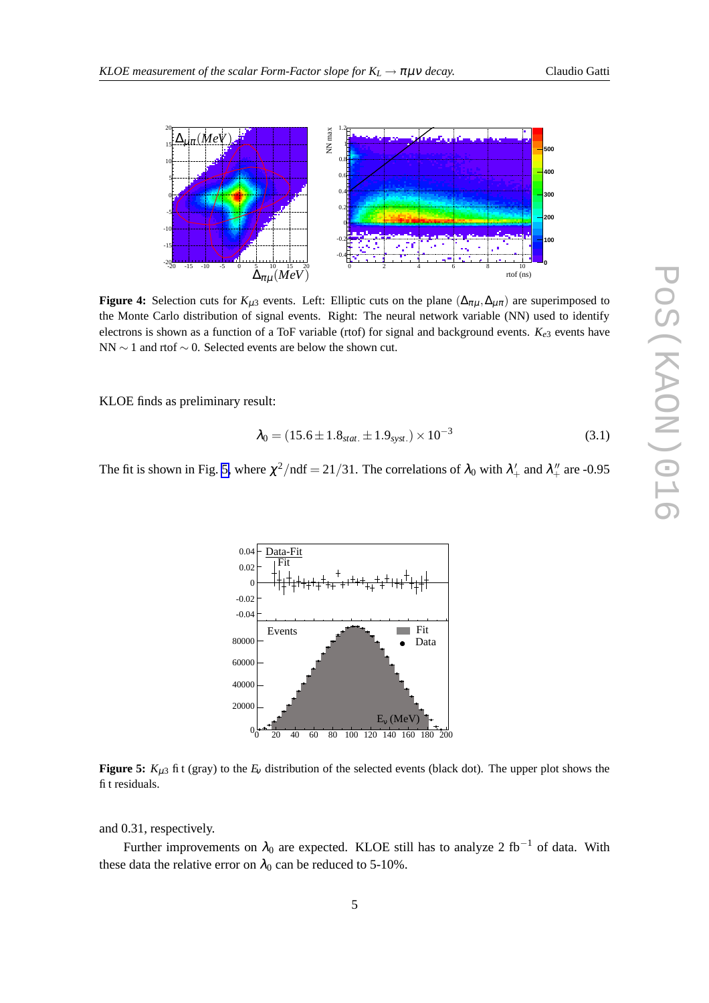

<span id="page-4-0"></span>

**Figure 4:** Selection cuts for  $K_{\mu 3}$  events. Left: Elliptic cuts on the plane  $(\Delta_{\pi\mu}, \Delta_{\mu\pi})$  are superimposed to the Monte Carlo distribution of signal events. Right: The neural network variable (NN) used to identify electrons is shown as a function of a ToF variable (rtof) for signal and background events. *Ke*<sup>3</sup> events have NN ∼ 1 and rtof ∼ 0. Selected events are below the shown cut.

KLOE finds as preliminary result:

$$
\lambda_0 = (15.6 \pm 1.8_{stat.} \pm 1.9_{syst.}) \times 10^{-3}
$$
 (3.1)

The fit is shown in Fig. 5, where  $\chi^2/\text{ndf} = 21/31$ . The correlations of  $\lambda_0$  with  $\lambda'_+$  and  $\lambda''_+$  are -0.95



**Figure 5:**  $K_{\mu 3}$  fit (gray) to the  $E_v$  distribution of the selected events (black dot). The upper plot shows the fit residuals.

and 0.31, respectively.

Further improvements on  $\lambda_0$  are expected. KLOE still has to analyze 2 fb<sup>-1</sup> of data. With these data the relative error on  $\lambda_0$  can be reduced to 5-10%.